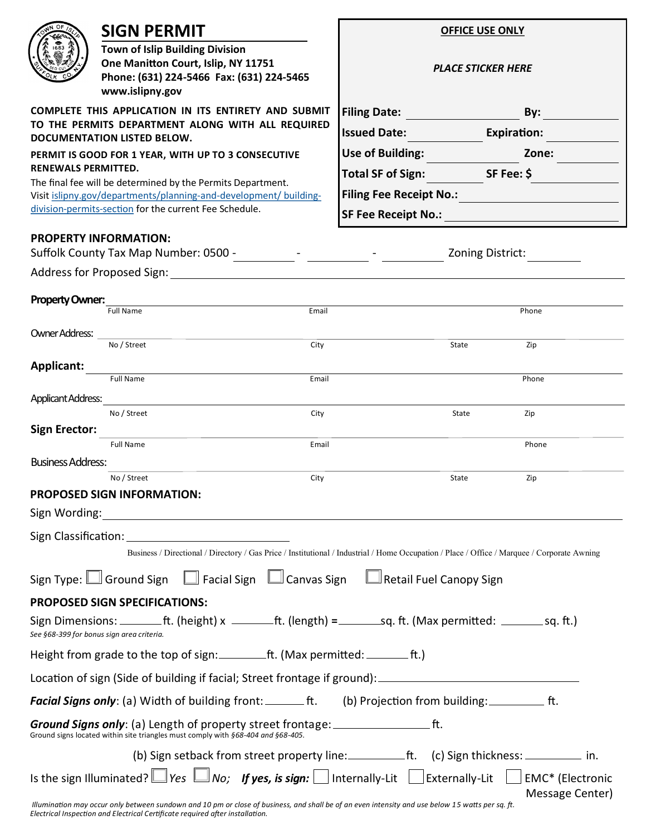| OF                                                                                                                                                     | <b>SIGN PERMIT</b>                                                                                                                                                                                                             | <b>OFFICE USE ONLY</b>                                                                                                                      |                 |  |
|--------------------------------------------------------------------------------------------------------------------------------------------------------|--------------------------------------------------------------------------------------------------------------------------------------------------------------------------------------------------------------------------------|---------------------------------------------------------------------------------------------------------------------------------------------|-----------------|--|
|                                                                                                                                                        | <b>Town of Islip Building Division</b><br>One Manitton Court, Islip, NY 11751<br>Phone: (631) 224-5466 Fax: (631) 224-5465<br>www.islipny.gov                                                                                  | <b>PLACE STICKER HERE</b>                                                                                                                   |                 |  |
| <b>COMPLETE THIS APPLICATION IN ITS ENTIRETY AND SUBMIT</b><br>TO THE PERMITS DEPARTMENT ALONG WITH ALL REQUIRED<br><b>DOCUMENTATION LISTED BELOW.</b> |                                                                                                                                                                                                                                | Filing Date: <b>Filing</b> Date:<br>By:                                                                                                     |                 |  |
|                                                                                                                                                        |                                                                                                                                                                                                                                | <b>Issued Date: Example 2014</b><br><b>Expiration:</b>                                                                                      |                 |  |
| PERMIT IS GOOD FOR 1 YEAR, WITH UP TO 3 CONSECUTIVE                                                                                                    |                                                                                                                                                                                                                                | <b>Use of Building:</b>                                                                                                                     | Zone:           |  |
| RENEWALS PERMITTED.<br>The final fee will be determined by the Permits Department.                                                                     |                                                                                                                                                                                                                                | <b>Total SF of Sign:</b><br>SF Fee: \$                                                                                                      |                 |  |
| Visit islipny.gov/departments/planning-and-development/ building-<br>division-permits-section for the current Fee Schedule.                            |                                                                                                                                                                                                                                | <b>Filing Fee Receipt No.:</b>                                                                                                              |                 |  |
|                                                                                                                                                        |                                                                                                                                                                                                                                | <b>SF Fee Receipt No.:</b>                                                                                                                  |                 |  |
|                                                                                                                                                        | <b>PROPERTY INFORMATION:</b>                                                                                                                                                                                                   | Zoning District:                                                                                                                            |                 |  |
|                                                                                                                                                        |                                                                                                                                                                                                                                |                                                                                                                                             |                 |  |
| Property Owner:                                                                                                                                        | the control of the control of the control of the control of the control of<br>Email                                                                                                                                            |                                                                                                                                             |                 |  |
|                                                                                                                                                        | <b>Full Name</b>                                                                                                                                                                                                               | Phone                                                                                                                                       |                 |  |
| <b>Owner Address:</b>                                                                                                                                  | No / Street<br>City                                                                                                                                                                                                            | State<br>Zip                                                                                                                                |                 |  |
| Applicant:                                                                                                                                             |                                                                                                                                                                                                                                |                                                                                                                                             |                 |  |
|                                                                                                                                                        | Full Name<br>Email                                                                                                                                                                                                             | Phone                                                                                                                                       |                 |  |
| Applicant Address:                                                                                                                                     | No / Street<br>City                                                                                                                                                                                                            | Zip<br>State                                                                                                                                |                 |  |
| <b>Sign Erector:</b>                                                                                                                                   |                                                                                                                                                                                                                                |                                                                                                                                             |                 |  |
|                                                                                                                                                        | <b>Full Name</b><br>Email                                                                                                                                                                                                      | Phone                                                                                                                                       |                 |  |
| <b>Business Address:</b>                                                                                                                               | No / Street<br>City                                                                                                                                                                                                            | State<br>Zip                                                                                                                                |                 |  |
|                                                                                                                                                        | <b>PROPOSED SIGN INFORMATION:</b>                                                                                                                                                                                              |                                                                                                                                             |                 |  |
|                                                                                                                                                        | Sign Wording: 1999 March 2008 March 2009 March 2009 March 2009 March 2009 March 2009 March 2009 March 2009 March 2009 March 2009 March 2009 March 2009 March 2009 March 2009 March 2009 March 2009 March 2009 March 2009 March |                                                                                                                                             |                 |  |
|                                                                                                                                                        | Sign Classification: The Contract of the Contract of the Contract of the Contract of the Contract of the Contract of the Contract of the Contract of the Contract of the Contract of the Contract of the Contract of the Contr |                                                                                                                                             |                 |  |
|                                                                                                                                                        |                                                                                                                                                                                                                                | Business / Directional / Directory / Gas Price / Institutional / Industrial / Home Occupation / Place / Office / Marquee / Corporate Awning |                 |  |
|                                                                                                                                                        | Sign Type: □ Ground Sign □ Facial Sign □ Canvas Sign □ Retail Fuel Canopy Sign                                                                                                                                                 |                                                                                                                                             |                 |  |
|                                                                                                                                                        | PROPOSED SIGN SPECIFICATIONS:                                                                                                                                                                                                  |                                                                                                                                             |                 |  |
|                                                                                                                                                        | Sign Dimensions: _________ft. (height) $x$ _________ft. (length) = ________sq. ft. (Max permitted: $\_\_$ sq. ft.)<br>See §68-399 for bonus sign area criteria.                                                                |                                                                                                                                             |                 |  |
|                                                                                                                                                        | Height from grade to the top of sign: _________ft. (Max permitted: _________ft.)                                                                                                                                               |                                                                                                                                             |                 |  |
|                                                                                                                                                        |                                                                                                                                                                                                                                |                                                                                                                                             |                 |  |
|                                                                                                                                                        | <b>Facial Signs only:</b> (a) Width of building front: ________ ft. (b) Projection from building: ____________ ft.                                                                                                             |                                                                                                                                             |                 |  |
|                                                                                                                                                        | <b>Ground Signs only</b> : (a) Length of property street frontage: _____________________ft.<br>Ground signs located within site triangles must comply with §68-404 and §68-405.                                                |                                                                                                                                             |                 |  |
|                                                                                                                                                        |                                                                                                                                                                                                                                |                                                                                                                                             |                 |  |
|                                                                                                                                                        | Is the sign Illuminated? $\Box$ Yes $\Box$ No; If yes, is sign: $\Box$ Internally-Lit $\Box$ Externally-Lit $\Box$ EMC* (Electronic                                                                                            |                                                                                                                                             |                 |  |
|                                                                                                                                                        |                                                                                                                                                                                                                                |                                                                                                                                             | Message Center) |  |

 *Illumination may occur only between sundown and 10 pm or close of business, and shall be of an even intensity and use below 15 watts per sq. ft. Electrical Inspection and Electrical Certificate required after installation.*